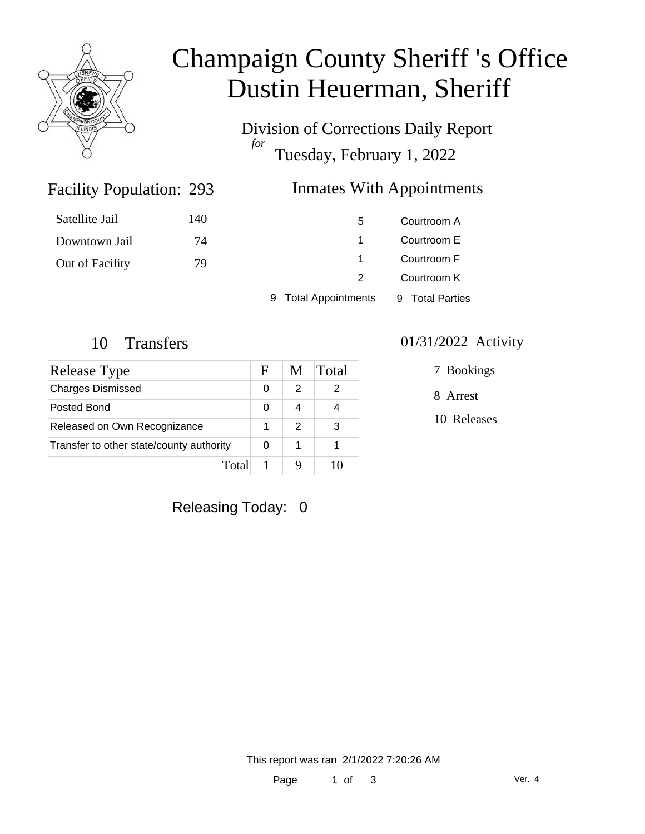

# Champaign County Sheriff 's Office Dustin Heuerman, Sheriff

Division of Corrections Daily Report *for* Tuesday, February 1, 2022

### Facility Population: 293

### Inmates With Appointments

| Satellite Jail  | 140 | 5                    | Courtroom A     |
|-----------------|-----|----------------------|-----------------|
| Downtown Jail   | 74  |                      | Courtroom E     |
| Out of Facility | 79  |                      | Courtroom F     |
|                 |     |                      | Courtroom K     |
|                 |     | 9 Total Appointments | 9 Total Parties |

| Release Type                             |   | M             | Total |
|------------------------------------------|---|---------------|-------|
| <b>Charges Dismissed</b>                 | O |               |       |
| Posted Bond                              | O |               |       |
| Released on Own Recognizance             |   | $\mathcal{P}$ | 3     |
| Transfer to other state/county authority |   |               |       |
| Total                                    |   |               |       |

### 10 Transfers 01/31/2022 Activity

7 Bookings

8 Arrest

10 Releases

Releasing Today: 0

This report was ran 2/1/2022 7:20:26 AM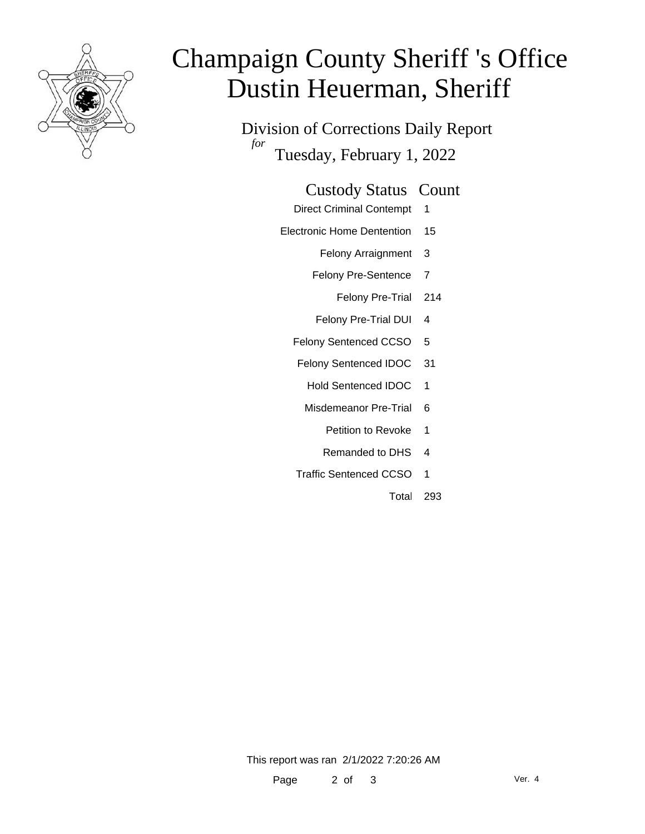

# Champaign County Sheriff 's Office Dustin Heuerman, Sheriff

Division of Corrections Daily Report *for* Tuesday, February 1, 2022

#### Custody Status Count

- Direct Criminal Contempt 1
- Electronic Home Dentention 15
	- Felony Arraignment 3
	- Felony Pre-Sentence 7
		- Felony Pre-Trial 214
	- Felony Pre-Trial DUI 4
	- Felony Sentenced CCSO 5
	- Felony Sentenced IDOC 31
		- Hold Sentenced IDOC 1
		- Misdemeanor Pre-Trial 6
			- Petition to Revoke 1
			- Remanded to DHS 4
	- Traffic Sentenced CCSO 1
		- Total 293

This report was ran 2/1/2022 7:20:26 AM